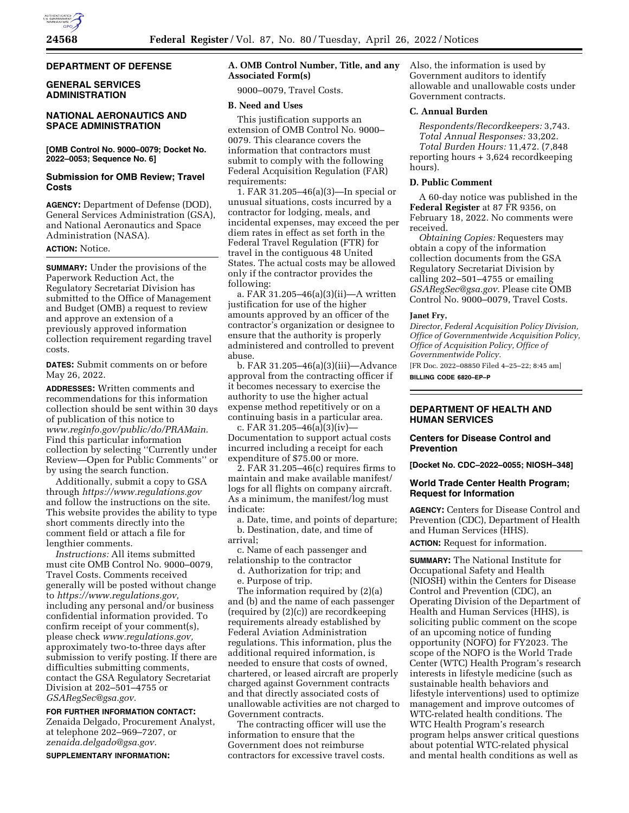## **DEPARTMENT OF DEFENSE**

# **GENERAL SERVICES ADMINISTRATION**

## **NATIONAL AERONAUTICS AND SPACE ADMINISTRATION**

**[OMB Control No. 9000–0079; Docket No. 2022–0053; Sequence No. 6]** 

#### **Submission for OMB Review; Travel Costs**

**AGENCY:** Department of Defense (DOD), General Services Administration (GSA), and National Aeronautics and Space Administration (NASA).

## **ACTION:** Notice.

**SUMMARY:** Under the provisions of the Paperwork Reduction Act, the Regulatory Secretariat Division has submitted to the Office of Management and Budget (OMB) a request to review and approve an extension of a previously approved information collection requirement regarding travel costs.

**DATES:** Submit comments on or before May 26, 2022.

**ADDRESSES:** Written comments and recommendations for this information collection should be sent within 30 days of publication of this notice to *[www.reginfo.gov/public/do/PRAMain.](http://www.reginfo.gov/public/do/PRAMain)*  Find this particular information collection by selecting ''Currently under Review—Open for Public Comments'' or by using the search function.

Additionally, submit a copy to GSA through *<https://www.regulations.gov>*  and follow the instructions on the site. This website provides the ability to type short comments directly into the comment field or attach a file for lengthier comments.

*Instructions:* All items submitted must cite OMB Control No. 9000–0079, Travel Costs. Comments received generally will be posted without change to *[https://www.regulations.gov,](https://www.regulations.gov)*  including any personal and/or business confidential information provided. To confirm receipt of your comment(s), please check *[www.regulations.gov,](http://www.regulations.gov)*  approximately two-to-three days after submission to verify posting. If there are difficulties submitting comments, contact the GSA Regulatory Secretariat Division at 202–501–4755 or *[GSARegSec@gsa.gov.](mailto:GSARegSec@gsa.gov)* 

**FOR FURTHER INFORMATION CONTACT:** 

Zenaida Delgado, Procurement Analyst, at telephone 202–969–7207, or *[zenaida.delgado@gsa.gov.](mailto:zenaida.delgado@gsa.gov)* 

**SUPPLEMENTARY INFORMATION:**

## **A. OMB Control Number, Title, and any Associated Form(s)**

9000–0079, Travel Costs.

## **B. Need and Uses**

This justification supports an extension of OMB Control No. 9000– 0079. This clearance covers the information that contractors must submit to comply with the following Federal Acquisition Regulation (FAR) requirements:

1. FAR 31.205–46(a)(3)—In special or unusual situations, costs incurred by a contractor for lodging, meals, and incidental expenses, may exceed the per diem rates in effect as set forth in the Federal Travel Regulation (FTR) for travel in the contiguous 48 United States. The actual costs may be allowed only if the contractor provides the following:

a. FAR 31.205–46(a)(3)(ii)—A written justification for use of the higher amounts approved by an officer of the contractor's organization or designee to ensure that the authority is properly administered and controlled to prevent abuse.

b. FAR 31.205–46(a)(3)(iii)—Advance approval from the contracting officer if it becomes necessary to exercise the authority to use the higher actual expense method repetitively or on a continuing basis in a particular area.

c. FAR 31.205–46(a)(3)(iv)— Documentation to support actual costs incurred including a receipt for each expenditure of \$75.00 or more.

2. FAR 31.205–46(c) requires firms to maintain and make available manifest/ logs for all flights on company aircraft. As a minimum, the manifest/log must indicate:

a. Date, time, and points of departure; b. Destination, date, and time of arrival;

c. Name of each passenger and relationship to the contractor

d. Authorization for trip; and e. Purpose of trip.

The information required by (2)(a) and (b) and the name of each passenger (required by (2)(c)) are recordkeeping requirements already established by Federal Aviation Administration regulations. This information, plus the additional required information, is needed to ensure that costs of owned, chartered, or leased aircraft are properly charged against Government contracts and that directly associated costs of unallowable activities are not charged to Government contracts.

The contracting officer will use the information to ensure that the Government does not reimburse contractors for excessive travel costs.

Also, the information is used by Government auditors to identify allowable and unallowable costs under Government contracts.

# **C. Annual Burden**

*Respondents/Recordkeepers:* 3,743. *Total Annual Responses:* 33,202. *Total Burden Hours:* 11,472. (7,848 reporting hours + 3,624 recordkeeping hours).

# **D. Public Comment**

A 60-day notice was published in the **Federal Register** at 87 FR 9356, on February 18, 2022. No comments were received.

*Obtaining Copies:* Requesters may obtain a copy of the information collection documents from the GSA Regulatory Secretariat Division by calling 202–501–4755 or emailing *[GSARegSec@gsa.gov.](mailto:GSARegSec@gsa.gov)* Please cite OMB Control No. 9000–0079, Travel Costs.

#### **Janet Fry,**

*Director, Federal Acquisition Policy Division, Office of Governmentwide Acquisition Policy, Office of Acquisition Policy, Office of Governmentwide Policy.* 

[FR Doc. 2022–08850 Filed 4–25–22; 8:45 am] **BILLING CODE 6820–EP–P** 

#### **DEPARTMENT OF HEALTH AND HUMAN SERVICES**

#### **Centers for Disease Control and Prevention**

**[Docket No. CDC–2022–0055; NIOSH–348]** 

#### **World Trade Center Health Program; Request for Information**

**AGENCY:** Centers for Disease Control and Prevention (CDC), Department of Health and Human Services (HHS).

**ACTION:** Request for information.

**SUMMARY:** The National Institute for Occupational Safety and Health (NIOSH) within the Centers for Disease Control and Prevention (CDC), an Operating Division of the Department of Health and Human Services (HHS), is soliciting public comment on the scope of an upcoming notice of funding opportunity (NOFO) for FY2023. The scope of the NOFO is the World Trade Center (WTC) Health Program's research interests in lifestyle medicine (such as sustainable health behaviors and lifestyle interventions) used to optimize management and improve outcomes of WTC-related health conditions. The WTC Health Program's research program helps answer critical questions about potential WTC-related physical and mental health conditions as well as